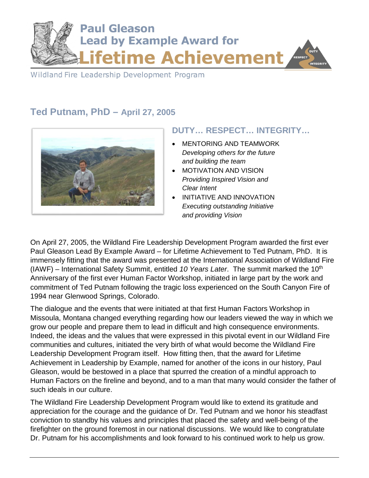

Wildland Fire Leadership Development Program

## **Ted Putnam, PhD – April 27, 2005**



## **DUTY… RESPECT… INTEGRITY…**

- MENTORING AND TEAMWORK *Developing others for the future and building the team*
- MOTIVATION AND VISION *Providing Inspired Vision and Clear Intent*
- INITIATIVE AND INNOVATION *Executing outstanding Initiative and providing Vision*

On April 27, 2005, the Wildland Fire Leadership Development Program awarded the first ever Paul Gleason Lead By Example Award – for Lifetime Achievement to Ted Putnam, PhD. It is immensely fitting that the award was presented at the International Association of Wildland Fire (IAWF) – International Safety Summit, entitled *10 Years Later*. The summit marked the 10th Anniversary of the first ever Human Factor Workshop, initiated in large part by the work and commitment of Ted Putnam following the tragic loss experienced on the South Canyon Fire of 1994 near Glenwood Springs, Colorado.

The dialogue and the events that were initiated at that first Human Factors Workshop in Missoula, Montana changed everything regarding how our leaders viewed the way in which we grow our people and prepare them to lead in difficult and high consequence environments. Indeed, the ideas and the values that were expressed in this pivotal event in our Wildland Fire communities and cultures, initiated the very birth of what would become the Wildland Fire Leadership Development Program itself. How fitting then, that the award for Lifetime Achievement in Leadership by Example, named for another of the icons in our history, Paul Gleason, would be bestowed in a place that spurred the creation of a mindful approach to Human Factors on the fireline and beyond, and to a man that many would consider the father of such ideals in our culture.

The Wildland Fire Leadership Development Program would like to extend its gratitude and appreciation for the courage and the guidance of Dr. Ted Putnam and we honor his steadfast conviction to standby his values and principles that placed the safety and well-being of the firefighter on the ground foremost in our national discussions. We would like to congratulate Dr. Putnam for his accomplishments and look forward to his continued work to help us grow.